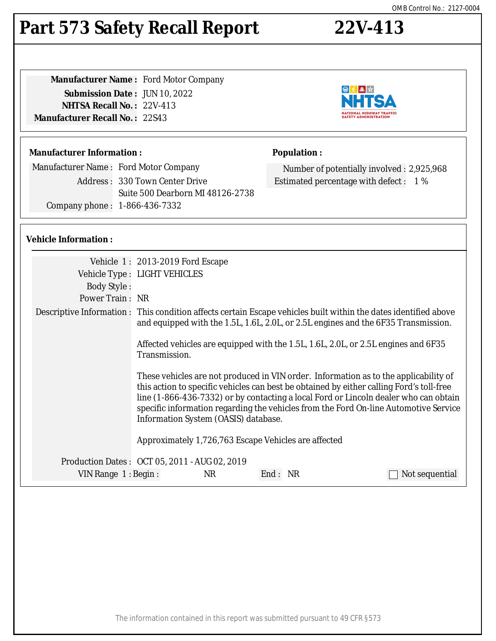# **Part 573 Safety Recall Report 22V-413**

| <b>Manufacturer Name:</b> Ford Motor Company |  |
|----------------------------------------------|--|
| <b>Submission Date: JUN 10, 2022</b>         |  |
| <b>NHTSA Recall No.: 22V-413</b>             |  |
| <b>Manufacturer Recall No. : 22S43</b>       |  |
|                                              |  |

### **Manufacturer Information :**

Manufacturer Name : Ford Motor Company Address : 330 Town Center Drive Suite 500 Dearborn MI 48126-2738 Company phone : 1-866-436-7332

### **Vehicle Information :**

|                                               | Vehicle 1: 2013-2019 Ford Escape                                                                                                                                                                                                                                                                                                                                                                         |                                                                                    |                                                                                                                                                                                                        |
|-----------------------------------------------|----------------------------------------------------------------------------------------------------------------------------------------------------------------------------------------------------------------------------------------------------------------------------------------------------------------------------------------------------------------------------------------------------------|------------------------------------------------------------------------------------|--------------------------------------------------------------------------------------------------------------------------------------------------------------------------------------------------------|
|                                               | Vehicle Type : LIGHT VEHICLES                                                                                                                                                                                                                                                                                                                                                                            |                                                                                    |                                                                                                                                                                                                        |
| <b>Body Style:</b>                            |                                                                                                                                                                                                                                                                                                                                                                                                          |                                                                                    |                                                                                                                                                                                                        |
| Power Train: NR                               |                                                                                                                                                                                                                                                                                                                                                                                                          |                                                                                    |                                                                                                                                                                                                        |
|                                               |                                                                                                                                                                                                                                                                                                                                                                                                          |                                                                                    | Descriptive Information : This condition affects certain Escape vehicles built within the dates identified above<br>and equipped with the 1.5L, 1.6L, 2.0L, or 2.5L engines and the 6F35 Transmission. |
|                                               | Transmission.                                                                                                                                                                                                                                                                                                                                                                                            | Affected vehicles are equipped with the 1.5L, 1.6L, 2.0L, or 2.5L engines and 6F35 |                                                                                                                                                                                                        |
|                                               | These vehicles are not produced in VIN order. Information as to the applicability of<br>this action to specific vehicles can best be obtained by either calling Ford's toll-free<br>line (1-866-436-7332) or by contacting a local Ford or Lincoln dealer who can obtain<br>specific information regarding the vehicles from the Ford On-line Automotive Service<br>Information System (OASIS) database. |                                                                                    |                                                                                                                                                                                                        |
|                                               |                                                                                                                                                                                                                                                                                                                                                                                                          | Approximately 1,726,763 Escape Vehicles are affected                               |                                                                                                                                                                                                        |
| Production Dates: OCT 05, 2011 - AUG 02, 2019 |                                                                                                                                                                                                                                                                                                                                                                                                          |                                                                                    |                                                                                                                                                                                                        |
| VIN Range 1: Begin:                           | <b>NR</b>                                                                                                                                                                                                                                                                                                                                                                                                | End: NR                                                                            | Not sequential                                                                                                                                                                                         |
|                                               |                                                                                                                                                                                                                                                                                                                                                                                                          |                                                                                    |                                                                                                                                                                                                        |



Number of potentially involved : 2,925,968

Estimated percentage with defect : 1 %

**Population :**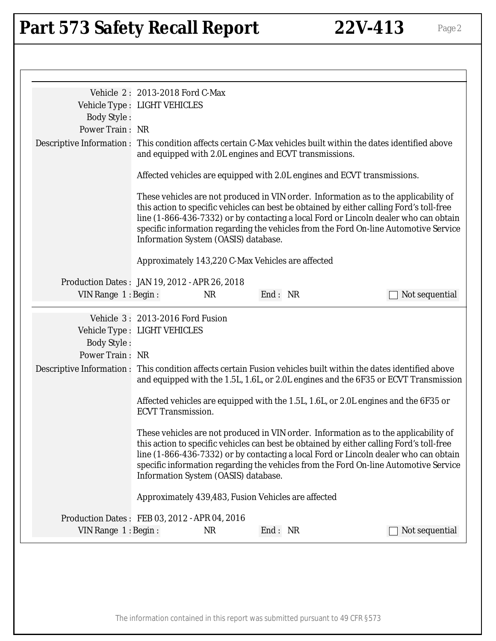# Part 573 Safety Recall Report 22V-413 Page 2

|                                                                        | Vehicle 2: 2013-2018 Ford C-Max      |           |                                                                          |                                                                                                                                                                                                                                                                                                                                                                  |
|------------------------------------------------------------------------|--------------------------------------|-----------|--------------------------------------------------------------------------|------------------------------------------------------------------------------------------------------------------------------------------------------------------------------------------------------------------------------------------------------------------------------------------------------------------------------------------------------------------|
|                                                                        | Vehicle Type : LIGHT VEHICLES        |           |                                                                          |                                                                                                                                                                                                                                                                                                                                                                  |
| <b>Body Style:</b>                                                     |                                      |           |                                                                          |                                                                                                                                                                                                                                                                                                                                                                  |
| Power Train: NR                                                        |                                      |           |                                                                          |                                                                                                                                                                                                                                                                                                                                                                  |
|                                                                        |                                      |           | and equipped with 2.0L engines and ECVT transmissions.                   | Descriptive Information : This condition affects certain C-Max vehicles built within the dates identified above                                                                                                                                                                                                                                                  |
|                                                                        |                                      |           | Affected vehicles are equipped with 2.0L engines and ECVT transmissions. |                                                                                                                                                                                                                                                                                                                                                                  |
|                                                                        | Information System (OASIS) database. |           |                                                                          | These vehicles are not produced in VIN order. Information as to the applicability of<br>this action to specific vehicles can best be obtained by either calling Ford's toll-free<br>line (1-866-436-7332) or by contacting a local Ford or Lincoln dealer who can obtain<br>specific information regarding the vehicles from the Ford On-line Automotive Service |
|                                                                        |                                      |           | Approximately 143,220 C-Max Vehicles are affected                        |                                                                                                                                                                                                                                                                                                                                                                  |
| Production Dates: JAN 19, 2012 - APR 26, 2018                          |                                      |           |                                                                          |                                                                                                                                                                                                                                                                                                                                                                  |
| VIN Range 1: Begin:                                                    |                                      | <b>NR</b> | End: NR                                                                  | Not sequential                                                                                                                                                                                                                                                                                                                                                   |
| Vehicle Type : LIGHT VEHICLES<br><b>Body Style:</b><br>Power Train: NR | Vehicle 3: 2013-2016 Ford Fusion     |           |                                                                          |                                                                                                                                                                                                                                                                                                                                                                  |
|                                                                        |                                      |           |                                                                          | Descriptive Information: This condition affects certain Fusion vehicles built within the dates identified above<br>and equipped with the 1.5L, 1.6L, or 2.0L engines and the 6F35 or ECVT Transmission                                                                                                                                                           |
|                                                                        | <b>ECVT</b> Transmission.            |           |                                                                          | Affected vehicles are equipped with the 1.5L, 1.6L, or 2.0L engines and the 6F35 or                                                                                                                                                                                                                                                                              |
|                                                                        | Information System (OASIS) database. |           |                                                                          | These vehicles are not produced in VIN order. Information as to the applicability of<br>this action to specific vehicles can best be obtained by either calling Ford's toll-free<br>line (1-866-436-7332) or by contacting a local Ford or Lincoln dealer who can obtain<br>specific information regarding the vehicles from the Ford On-line Automotive Service |
|                                                                        |                                      |           | Approximately 439,483, Fusion Vehicles are affected                      |                                                                                                                                                                                                                                                                                                                                                                  |
| Production Dates: FEB 03, 2012 - APR 04, 2016                          |                                      |           |                                                                          |                                                                                                                                                                                                                                                                                                                                                                  |
| VIN Range 1: Begin:                                                    |                                      | <b>NR</b> | End: NR                                                                  | Not sequential                                                                                                                                                                                                                                                                                                                                                   |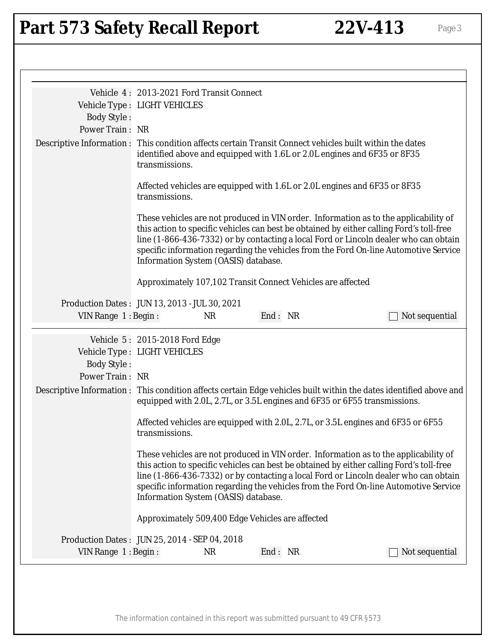# Part 573 Safety Recall Report 22V-413 Page 3

|                                               | Vehicle 4: 2013-2021 Ford Transit Connect |           |                                                                                                                                                                                                                                                                                                                                                                  |                |
|-----------------------------------------------|-------------------------------------------|-----------|------------------------------------------------------------------------------------------------------------------------------------------------------------------------------------------------------------------------------------------------------------------------------------------------------------------------------------------------------------------|----------------|
|                                               | Vehicle Type : LIGHT VEHICLES             |           |                                                                                                                                                                                                                                                                                                                                                                  |                |
| <b>Body Style:</b>                            |                                           |           |                                                                                                                                                                                                                                                                                                                                                                  |                |
| Power Train: NR                               |                                           |           |                                                                                                                                                                                                                                                                                                                                                                  |                |
|                                               | transmissions.                            |           | Descriptive Information : This condition affects certain Transit Connect vehicles built within the dates<br>identified above and equipped with 1.6L or 2.0L engines and 6F35 or 8F35                                                                                                                                                                             |                |
|                                               | transmissions.                            |           | Affected vehicles are equipped with 1.6L or 2.0L engines and 6F35 or 8F35                                                                                                                                                                                                                                                                                        |                |
|                                               | Information System (OASIS) database.      |           | These vehicles are not produced in VIN order. Information as to the applicability of<br>this action to specific vehicles can best be obtained by either calling Ford's toll-free<br>line (1-866-436-7332) or by contacting a local Ford or Lincoln dealer who can obtain<br>specific information regarding the vehicles from the Ford On-line Automotive Service |                |
|                                               |                                           |           | Approximately 107,102 Transit Connect Vehicles are affected                                                                                                                                                                                                                                                                                                      |                |
| Production Dates: JUN 13, 2013 - JUL 30, 2021 |                                           |           |                                                                                                                                                                                                                                                                                                                                                                  |                |
| VIN Range 1: Begin:                           |                                           | <b>NR</b> | End: NR                                                                                                                                                                                                                                                                                                                                                          | Not sequential |
|                                               |                                           |           |                                                                                                                                                                                                                                                                                                                                                                  |                |
|                                               |                                           |           |                                                                                                                                                                                                                                                                                                                                                                  |                |
|                                               | Vehicle 5: 2015-2018 Ford Edge            |           |                                                                                                                                                                                                                                                                                                                                                                  |                |
|                                               | Vehicle Type : LIGHT VEHICLES             |           |                                                                                                                                                                                                                                                                                                                                                                  |                |
| <b>Body Style:</b>                            |                                           |           |                                                                                                                                                                                                                                                                                                                                                                  |                |
| <b>Power Train: NR</b>                        |                                           |           |                                                                                                                                                                                                                                                                                                                                                                  |                |
|                                               |                                           |           | Descriptive Information : This condition affects certain Edge vehicles built within the dates identified above and<br>equipped with 2.0L, 2.7L, or 3.5L engines and 6F35 or 6F55 transmissions.                                                                                                                                                                  |                |
|                                               | transmissions.                            |           | Affected vehicles are equipped with 2.0L, 2.7L, or 3.5L engines and 6F35 or 6F55                                                                                                                                                                                                                                                                                 |                |
|                                               | Information System (OASIS) database.      |           | These vehicles are not produced in VIN order. Information as to the applicability of<br>this action to specific vehicles can best be obtained by either calling Ford's toll-free<br>line (1-866-436-7332) or by contacting a local Ford or Lincoln dealer who can obtain<br>specific information regarding the vehicles from the Ford On-line Automotive Service |                |
|                                               |                                           |           | Approximately 509,400 Edge Vehicles are affected                                                                                                                                                                                                                                                                                                                 |                |
| Production Dates: JUN 25, 2014 - SEP 04, 2018 |                                           |           |                                                                                                                                                                                                                                                                                                                                                                  |                |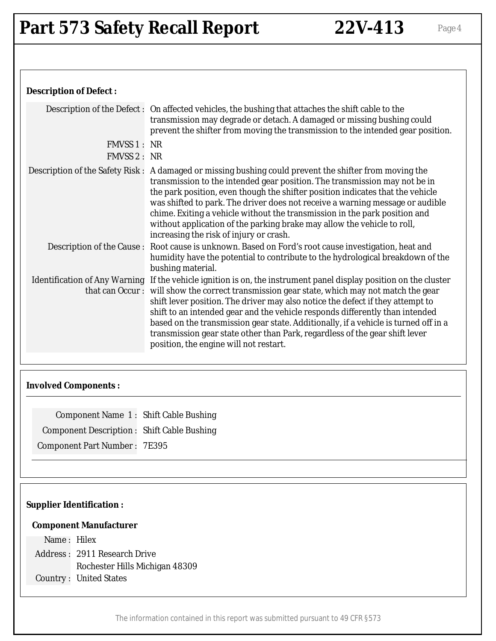### **Description of Defect :**

|              | Description of the Defect: On affected vehicles, the bushing that attaches the shift cable to the<br>transmission may degrade or detach. A damaged or missing bushing could<br>prevent the shifter from moving the transmission to the intended gear position.                                                                                                                                                                                                                                                                                                                                     |
|--------------|----------------------------------------------------------------------------------------------------------------------------------------------------------------------------------------------------------------------------------------------------------------------------------------------------------------------------------------------------------------------------------------------------------------------------------------------------------------------------------------------------------------------------------------------------------------------------------------------------|
| FMVSS 1: NR  |                                                                                                                                                                                                                                                                                                                                                                                                                                                                                                                                                                                                    |
| FMVSS 2 : NR |                                                                                                                                                                                                                                                                                                                                                                                                                                                                                                                                                                                                    |
|              | Description of the Safety Risk: A damaged or missing bushing could prevent the shifter from moving the<br>transmission to the intended gear position. The transmission may not be in<br>the park position, even though the shifter position indicates that the vehicle<br>was shifted to park. The driver does not receive a warning message or audible<br>chime. Exiting a vehicle without the transmission in the park position and<br>without application of the parking brake may allow the vehicle to roll,<br>increasing the risk of injury or crash.                                        |
|              | Description of the Cause: Root cause is unknown. Based on Ford's root cause investigation, heat and<br>humidity have the potential to contribute to the hydrological breakdown of the<br>bushing material.                                                                                                                                                                                                                                                                                                                                                                                         |
|              | Identification of Any Warning If the vehicle ignition is on, the instrument panel display position on the cluster<br>that can Occur: will show the correct transmission gear state, which may not match the gear<br>shift lever position. The driver may also notice the defect if they attempt to<br>shift to an intended gear and the vehicle responds differently than intended<br>based on the transmission gear state. Additionally, if a vehicle is turned off in a<br>transmission gear state other than Park, regardless of the gear shift lever<br>position, the engine will not restart. |

### **Involved Components :**

| Component Name 1: Shift Cable Bushing             |  |
|---------------------------------------------------|--|
| <b>Component Description: Shift Cable Bushing</b> |  |
| <b>Component Part Number: 7E395</b>               |  |

## **Supplier Identification :**

### **Component Manufacturer**

Name : Hilex Address : 2911 Research Drive Rochester Hills Michigan 48309 Country : United States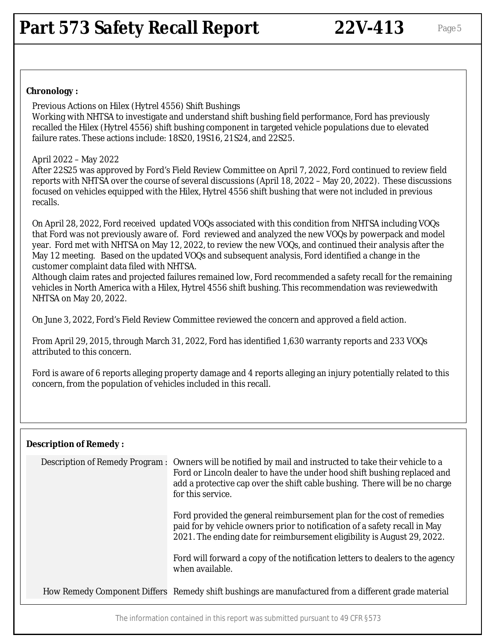### **Chronology :**

Previous Actions on Hilex (Hytrel 4556) Shift Bushings Working with NHTSA to investigate and understand shift bushing field performance, Ford has previously recalled the Hilex (Hytrel 4556) shift bushing component in targeted vehicle populations due to elevated failure rates. These actions include: 18S20, 19S16, 21S24, and 22S25.

### April 2022 – May 2022

After 22S25 was approved by Ford's Field Review Committee on April 7, 2022, Ford continued to review field reports with NHTSA over the course of several discussions (April 18, 2022 – May 20, 2022). These discussions focused on vehicles equipped with the Hilex, Hytrel 4556 shift bushing that were not included in previous recalls.

On April 28, 2022, Ford received updated VOQs associated with this condition from NHTSA including VOQs that Ford was not previously aware of. Ford reviewed and analyzed the new VOQs by powerpack and model year. Ford met with NHTSA on May 12, 2022, to review the new VOQs, and continued their analysis after the May 12 meeting. Based on the updated VOQs and subsequent analysis, Ford identified a change in the customer complaint data filed with NHTSA.

Although claim rates and projected failures remained low, Ford recommended a safety recall for the remaining vehicles in North America with a Hilex, Hytrel 4556 shift bushing. This recommendation was reviewedwith NHTSA on May 20, 2022.

On June 3, 2022, Ford's Field Review Committee reviewed the concern and approved a field action.

From April 29, 2015, through March 31, 2022, Ford has identified 1,630 warranty reports and 233 VOQs attributed to this concern.

Ford is aware of 6 reports alleging property damage and 4 reports alleging an injury potentially related to this concern, from the population of vehicles included in this recall.

### **Description of Remedy :**

| Description of Remedy Program : | Owners will be notified by mail and instructed to take their vehicle to a<br>Ford or Lincoln dealer to have the under hood shift bushing replaced and<br>add a protective cap over the shift cable bushing. There will be no charge<br>for this service. |
|---------------------------------|----------------------------------------------------------------------------------------------------------------------------------------------------------------------------------------------------------------------------------------------------------|
|                                 | Ford provided the general reimbursement plan for the cost of remedies<br>paid for by vehicle owners prior to notification of a safety recall in May<br>2021. The ending date for reimbursement eligibility is August 29, 2022.                           |
|                                 | Ford will forward a copy of the notification letters to dealers to the agency<br>when available.                                                                                                                                                         |
|                                 | How Remedy Component Differs Remedy shift bushings are manufactured from a different grade material                                                                                                                                                      |